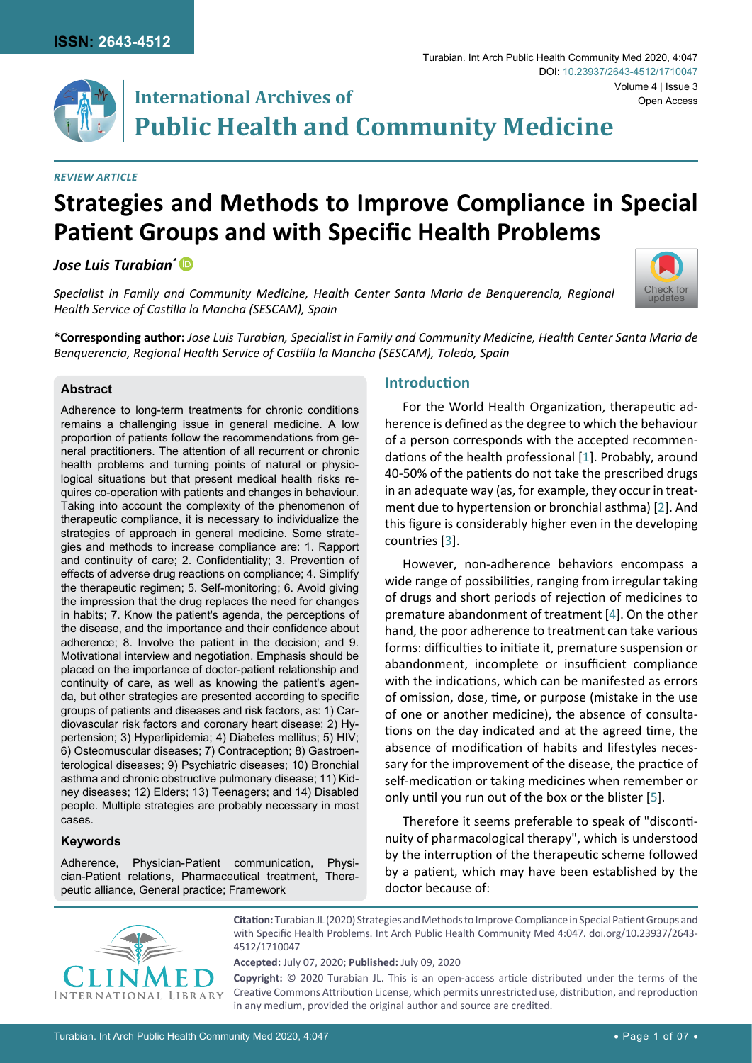[Check for](http://crossmark.crossref.org/dialog/?doi=/10.23937/2643-4512/1710047&domain=pdf) updates



## **International Archives of Public Health and Community Medicine**

#### *Review Article*

# **Strategies and Methods to Improve Compliance in Special Patient Groups and with Specific Health Problems**

## *Jose Luis Turabian[\\*](https://orcid.org/0000-0002-8463-171X)*

*Specialist in Family and Community Medicine, Health Center Santa Maria de Benquerencia, Regional Health Service of Castilla la Mancha (SESCAM), Spain*

**\*Corresponding author:** *Jose Luis Turabian, Specialist in Family and Community Medicine, Health Center Santa Maria de Benquerencia, Regional Health Service of Castilla la Mancha (SESCAM), Toledo, Spain*

#### **Abstract**

Adherence to long-term treatments for chronic conditions remains a challenging issue in general medicine. A low proportion of patients follow the recommendations from general practitioners. The attention of all recurrent or chronic health problems and turning points of natural or physiological situations but that present medical health risks requires co-operation with patients and changes in behaviour. Taking into account the complexity of the phenomenon of therapeutic compliance, it is necessary to individualize the strategies of approach in general medicine. Some strategies and methods to increase compliance are: 1. Rapport and continuity of care; 2. Confidentiality; 3. Prevention of effects of adverse drug reactions on compliance; 4. Simplify the therapeutic regimen; 5. Self-monitoring; 6. Avoid giving the impression that the drug replaces the need for changes in habits; 7. Know the patient's agenda, the perceptions of the disease, and the importance and their confidence about adherence; 8. Involve the patient in the decision; and 9. Motivational interview and negotiation. Emphasis should be placed on the importance of doctor-patient relationship and continuity of care, as well as knowing the patient's agenda, but other strategies are presented according to specific groups of patients and diseases and risk factors, as: 1) Cardiovascular risk factors and coronary heart disease; 2) Hypertension; 3) Hyperlipidemia; 4) Diabetes mellitus; 5) HIV; 6) Osteomuscular diseases; 7) Contraception; 8) Gastroenterological diseases; 9) Psychiatric diseases; 10) Bronchial asthma and chronic obstructive pulmonary disease; 11) Kidney diseases; 12) Elders; 13) Teenagers; and 14) Disabled people. Multiple strategies are probably necessary in most cases.

#### **Keywords**

Adherence, Physician-Patient communication, Physician-Patient relations, Pharmaceutical treatment, Therapeutic alliance, General practice; Framework

## **Introduction**

For the World Health Organization, therapeutic adherence is defined as the degree to which the behaviour of a person corresponds with the accepted recommendations of the health professional [\[1\]](#page-5-0). Probably, around 40-50% of the patients do not take the prescribed drugs in an adequate way (as, for example, they occur in treatment due to hypertension or bronchial asthma) [[2](#page-5-1)]. And this figure is considerably higher even in the developing countries [\[3\]](#page-5-2).

However, non-adherence behaviors encompass a wide range of possibilities, ranging from irregular taking of drugs and short periods of rejection of medicines to premature abandonment of treatment [\[4\]](#page-5-3). On the other hand, the poor adherence to treatment can take various forms: difficulties to initiate it, premature suspension or abandonment, incomplete or insufficient compliance with the indications, which can be manifested as errors of omission, dose, time, or purpose (mistake in the use of one or another medicine), the absence of consultations on the day indicated and at the agreed time, the absence of modification of habits and lifestyles necessary for the improvement of the disease, the practice of self-medication or taking medicines when remember or only until you run out of the box or the blister [\[5\]](#page-5-4).

Therefore it seems preferable to speak of "discontinuity of pharmacological therapy", which is understood by the interruption of the therapeutic scheme followed by a patient, which may have been established by the doctor because of:



**Citation:** Turabian JL (2020) Strategies and Methods to Improve Compliance in Special Patient Groups and with Specific Health Problems. Int Arch Public Health Community Med 4:047. [doi.org/10.23937/2643-](https://doi.org/10.23937/2643-4512/1710047) [4512/1710047](https://doi.org/10.23937/2643-4512/1710047)

**Accepted:** July 07, 2020; **Published:** July 09, 2020

**Copyright:** © 2020 Turabian JL. This is an open-access article distributed under the terms of the Creative Commons Attribution License, which permits unrestricted use, distribution, and reproduction in any medium, provided the original author and source are credited.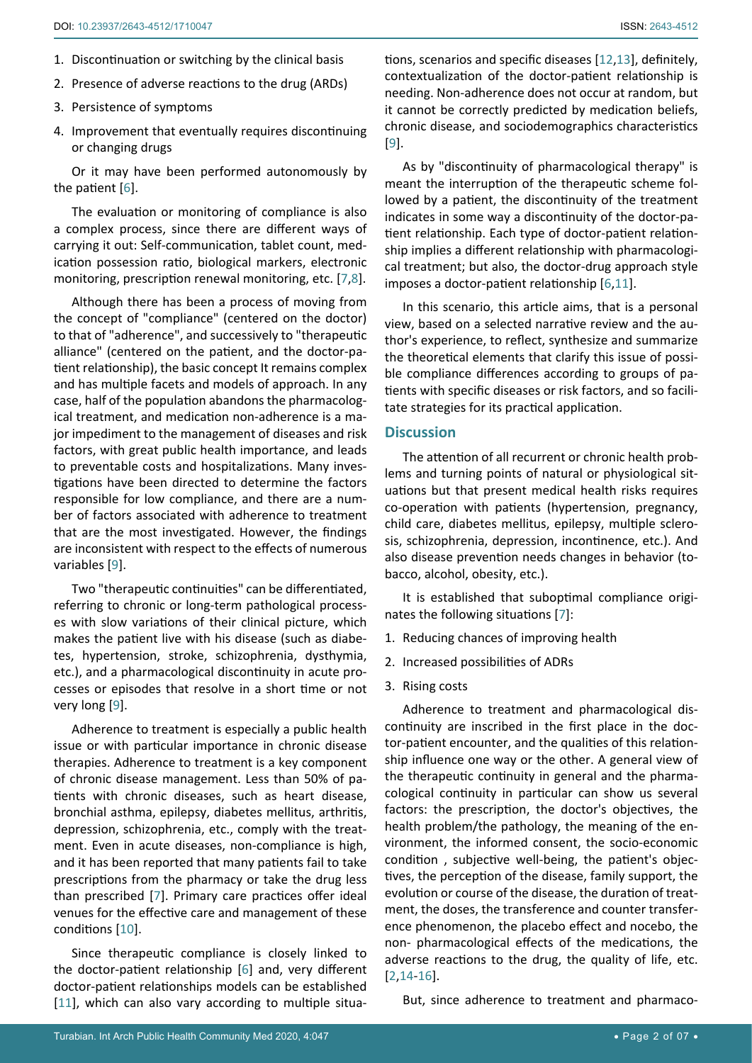- 1. Discontinuation or switching by the clinical basis
- 2. Presence of adverse reactions to the drug (ARDs)
- 3. Persistence of symptoms
- 4. Improvement that eventually requires discontinuing or changing drugs

Or it may have been performed autonomously by the patient [[6](#page-5-5)].

The evaluation or monitoring of compliance is also a complex process, since there are different ways of carrying it out: Self-communication, tablet count, medication possession ratio, biological markers, electronic monitoring, prescription renewal monitoring, etc. [[7](#page-5-6),[8](#page-5-7)].

Although there has been a process of moving from the concept of "compliance" (centered on the doctor) to that of "adherence", and successively to "therapeutic alliance" (centered on the patient, and the doctor-patient relationship), the basic concept It remains complex and has multiple facets and models of approach. In any case, half of the population abandons the pharmacological treatment, and medication non-adherence is a major impediment to the management of diseases and risk factors, with great public health importance, and leads to preventable costs and hospitalizations. Many investigations have been directed to determine the factors responsible for low compliance, and there are a number of factors associated with adherence to treatment that are the most investigated. However, the findings are inconsistent with respect to the effects of numerous variables [\[9\]](#page-6-2).

Two "therapeutic continuities" can be differentiated, referring to chronic or long-term pathological processes with slow variations of their clinical picture, which makes the patient live with his disease (such as diabetes, hypertension, stroke, schizophrenia, dysthymia, etc.), and a pharmacological discontinuity in acute processes or episodes that resolve in a short time or not very long [\[9\]](#page-6-2).

Adherence to treatment is especially a public health issue or with particular importance in chronic disease therapies. Adherence to treatment is a key component of chronic disease management. Less than 50% of patients with chronic diseases, such as heart disease, bronchial asthma, epilepsy, diabetes mellitus, arthritis, depression, schizophrenia, etc., comply with the treatment. Even in acute diseases, non-compliance is high, and it has been reported that many patients fail to take prescriptions from the pharmacy or take the drug less than prescribed [[7](#page-5-6)]. Primary care practices offer ideal venues for the effective care and management of these conditions [[10](#page-6-6)].

Since therapeutic compliance is closely linked to the doctor-patient relationship [\[6](#page-5-5)] and, very different doctor-patient relationships models can be established [[11](#page-6-3)], which can also vary according to multiple situations, scenarios and specific diseases [\[12,](#page-6-0)[13](#page-6-1)], definitely, contextualization of the doctor-patient relationship is needing. Non-adherence does not occur at random, but it cannot be correctly predicted by medication beliefs, chronic disease, and sociodemographics characteristics [\[9\]](#page-6-2).

As by "discontinuity of pharmacological therapy" is meant the interruption of the therapeutic scheme followed by a patient, the discontinuity of the treatment indicates in some way a discontinuity of the doctor-patient relationship. Each type of doctor-patient relationship implies a different relationship with pharmacological treatment; but also, the doctor-drug approach style imposes a doctor-patient relationship [[6](#page-5-5),[11\]](#page-6-3).

In this scenario, this article aims, that is a personal view, based on a selected narrative review and the author's experience, to reflect, synthesize and summarize the theoretical elements that clarify this issue of possible compliance differences according to groups of patients with specific diseases or risk factors, and so facilitate strategies for its practical application.

#### **Discussion**

The attention of all recurrent or chronic health problems and turning points of natural or physiological situations but that present medical health risks requires co-operation with patients (hypertension, pregnancy, child care, diabetes mellitus, epilepsy, multiple sclerosis, schizophrenia, depression, incontinence, etc.). And also disease prevention needs changes in behavior (tobacco, alcohol, obesity, etc.).

It is established that suboptimal compliance originates the following situations [\[7\]](#page-5-6):

- 1. Reducing chances of improving health
- 2. Increased possibilities of ADRs
- 3. Rising costs

Adherence to treatment and pharmacological discontinuity are inscribed in the first place in the doctor-patient encounter, and the qualities of this relationship influence one way or the other. A general view of the therapeutic continuity in general and the pharmacological continuity in particular can show us several factors: the prescription, the doctor's objectives, the health problem/the pathology, the meaning of the environment, the informed consent, the socio-economic condition , subjective well-being, the patient's objectives, the perception of the disease, family support, the evolution or course of the disease, the duration of treatment, the doses, the transference and counter transference phenomenon, the placebo effect and nocebo, the non- pharmacological effects of the medications, the adverse reactions to the drug, the quality of life, etc. [[2](#page-5-1)[,14-](#page-6-4)[16](#page-6-5)].

But, since adherence to treatment and pharmaco-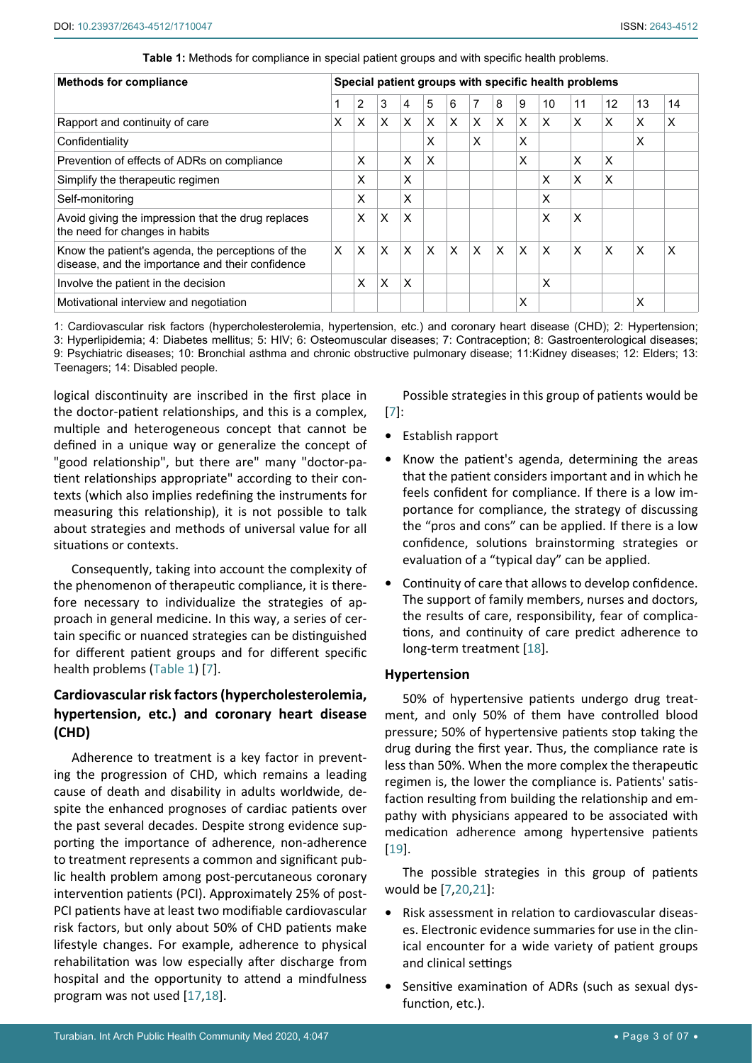| <b>Methods for compliance</b>                                                                         | Special patient groups with specific health problems |   |   |          |          |   |          |   |          |    |          |                   |    |    |
|-------------------------------------------------------------------------------------------------------|------------------------------------------------------|---|---|----------|----------|---|----------|---|----------|----|----------|-------------------|----|----|
|                                                                                                       |                                                      | 2 | 3 | 4        | 5        | 6 | 7        | 8 | 9        | 10 | 11       | $12 \overline{ }$ | 13 | 14 |
| Rapport and continuity of care                                                                        | X                                                    | X | X | X        | $\times$ | X | X        | X | X        | X  | X        | X                 | X  | X  |
| Confidentiality                                                                                       |                                                      |   |   |          | X        |   | x        |   | X        |    |          |                   | X  |    |
| Prevention of effects of ADRs on compliance                                                           |                                                      | X |   | X        | X        |   |          |   | X        |    | X        | X                 |    |    |
| Simplify the therapeutic regimen                                                                      |                                                      | X |   | X        |          |   |          |   |          | X  | X        | X                 |    |    |
| Self-monitoring                                                                                       |                                                      | X |   | x        |          |   |          |   |          | X  |          |                   |    |    |
| Avoid giving the impression that the drug replaces<br>the need for changes in habits                  |                                                      | X | X | X        |          |   |          |   |          | X  | X        |                   |    |    |
| Know the patient's agenda, the perceptions of the<br>disease, and the importance and their confidence | X                                                    | X | X | $\times$ | X        | X | $\times$ | X | $\times$ | X  | $\times$ | X                 | X  | X  |
| Involve the patient in the decision                                                                   |                                                      | X | X | X        |          |   |          |   |          | X  |          |                   |    |    |
| Motivational interview and negotiation                                                                |                                                      |   |   |          |          |   |          |   | X        |    |          |                   | x  |    |

<span id="page-2-0"></span>**Table 1:** Methods for compliance in special patient groups and with specific health problems.

1: Cardiovascular risk factors (hypercholesterolemia, hypertension, etc.) and coronary heart disease (CHD); 2: Hypertension; 3: Hyperlipidemia; 4: Diabetes mellitus; 5: HIV; 6: Osteomuscular diseases; 7: Contraception; 8: Gastroenterological diseases; 9: Psychiatric diseases; 10: Bronchial asthma and chronic obstructive pulmonary disease; 11:Kidney diseases; 12: Elders; 13: Teenagers; 14: Disabled people.

logical discontinuity are inscribed in the first place in the doctor-patient relationships, and this is a complex, multiple and heterogeneous concept that cannot be defined in a unique way or generalize the concept of "good relationship", but there are" many "doctor-patient relationships appropriate" according to their contexts (which also implies redefining the instruments for measuring this relationship), it is not possible to talk about strategies and methods of universal value for all situations or contexts.

Consequently, taking into account the complexity of the phenomenon of therapeutic compliance, it is therefore necessary to individualize the strategies of approach in general medicine. In this way, a series of certain specific or nuanced strategies can be distinguished for different patient groups and for different specific health problems ([Table 1](#page-2-0)) [\[7\]](#page-5-6).

## **Cardiovascular risk factors (hypercholesterolemia, hypertension, etc.) and coronary heart disease (CHD)**

Adherence to treatment is a key factor in preventing the progression of CHD, which remains a leading cause of death and disability in adults worldwide, despite the enhanced prognoses of cardiac patients over the past several decades. Despite strong evidence supporting the importance of adherence, non-adherence to treatment represents a common and significant public health problem among post-percutaneous coronary intervention patients (PCI). Approximately 25% of post-PCI patients have at least two modifiable cardiovascular risk factors, but only about 50% of CHD patients make lifestyle changes. For example, adherence to physical rehabilitation was low especially after discharge from hospital and the opportunity to attend a mindfulness program was not used [\[17,](#page-6-11)[18](#page-6-7)].

Possible strategies in this group of patients would be [\[7\]](#page-5-6):

- **•** Establish rapport
- **•** Know the patient's agenda, determining the areas that the patient considers important and in which he feels confident for compliance. If there is a low importance for compliance, the strategy of discussing the "pros and cons" can be applied. If there is a low confidence, solutions brainstorming strategies or evaluation of a "typical day" can be applied.
- **•** Continuity of care that allows to develop confidence. The support of family members, nurses and doctors, the results of care, responsibility, fear of complications, and continuity of care predict adherence to long-term treatment [\[18](#page-6-7)].

## **Hypertension**

50% of hypertensive patients undergo drug treatment, and only 50% of them have controlled blood pressure; 50% of hypertensive patients stop taking the drug during the first year. Thus, the compliance rate is less than 50%. When the more complex the therapeutic regimen is, the lower the compliance is. Patients' satisfaction resulting from building the relationship and empathy with physicians appeared to be associated with medication adherence among hypertensive patients [\[19](#page-6-8)].

The possible strategies in this group of patients would be [\[7,](#page-5-6)[20](#page-6-9)[,21](#page-6-10)]:

- **•** Risk assessment in relation to cardiovascular diseases. Electronic evidence summaries for use in the clinical encounter for a wide variety of patient groups and clinical settings
- **•** Sensitive examination of ADRs (such as sexual dysfunction, etc.).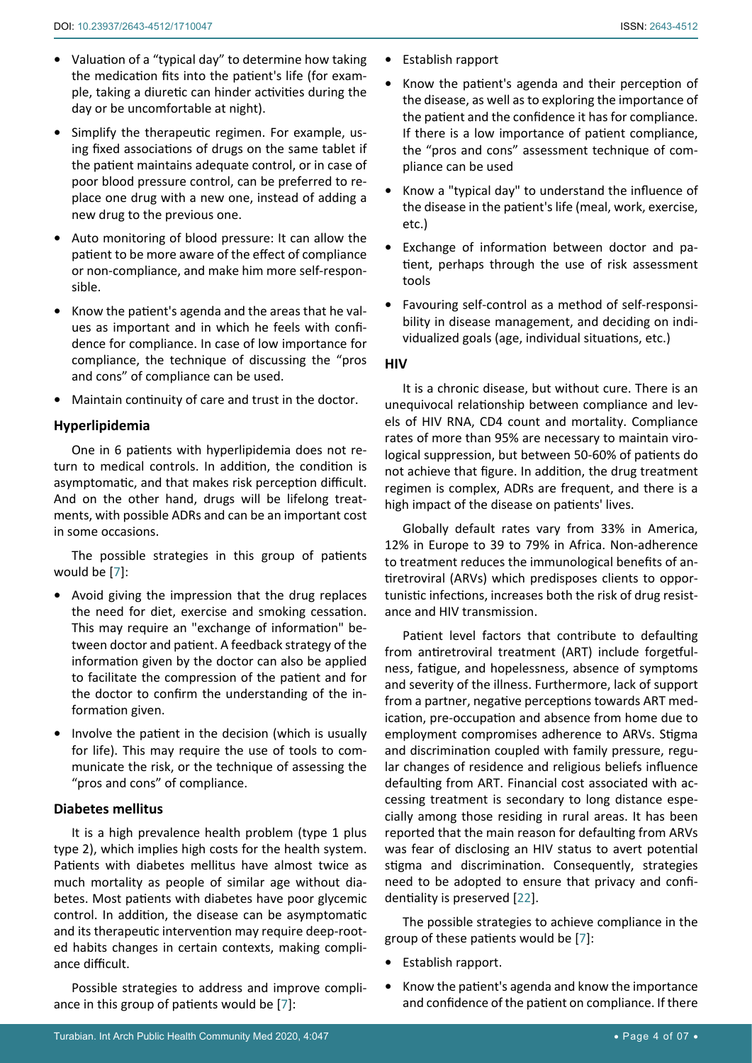- **•** Valuation of a "typical day" to determine how taking the medication fits into the patient's life (for example, taking a diuretic can hinder activities during the day or be uncomfortable at night).
- **•** Simplify the therapeutic regimen. For example, using fixed associations of drugs on the same tablet if the patient maintains adequate control, or in case of poor blood pressure control, can be preferred to replace one drug with a new one, instead of adding a new drug to the previous one.
- **•** Auto monitoring of blood pressure: It can allow the patient to be more aware of the effect of compliance or non-compliance, and make him more self-responsible.
- **•** Know the patient's agenda and the areas that he values as important and in which he feels with confidence for compliance. In case of low importance for compliance, the technique of discussing the "pros and cons" of compliance can be used.
- **•** Maintain continuity of care and trust in the doctor.

## **Hyperlipidemia**

One in 6 patients with hyperlipidemia does not return to medical controls. In addition, the condition is asymptomatic, and that makes risk perception difficult. And on the other hand, drugs will be lifelong treatments, with possible ADRs and can be an important cost in some occasions.

The possible strategies in this group of patients would be [[7](#page-5-6)]:

- **•** Avoid giving the impression that the drug replaces the need for diet, exercise and smoking cessation. This may require an "exchange of information" between doctor and patient. A feedback strategy of the information given by the doctor can also be applied to facilitate the compression of the patient and for the doctor to confirm the understanding of the information given.
- **•** Involve the patient in the decision (which is usually for life). This may require the use of tools to communicate the risk, or the technique of assessing the "pros and cons" of compliance.

## **Diabetes mellitus**

It is a high prevalence health problem (type 1 plus type 2), which implies high costs for the health system. Patients with diabetes mellitus have almost twice as much mortality as people of similar age without diabetes. Most patients with diabetes have poor glycemic control. In addition, the disease can be asymptomatic and its therapeutic intervention may require deep-rooted habits changes in certain contexts, making compliance difficult.

Possible strategies to address and improve compliance in this group of patients would be [\[7](#page-5-6)]:

- **•** Establish rapport
- **•** Know the patient's agenda and their perception of the disease, as well as to exploring the importance of the patient and the confidence it has for compliance. If there is a low importance of patient compliance, the "pros and cons" assessment technique of compliance can be used
- **•** Know a "typical day" to understand the influence of the disease in the patient's life (meal, work, exercise, etc.)
- **•** Exchange of information between doctor and patient, perhaps through the use of risk assessment tools
- **•** Favouring self-control as a method of self-responsibility in disease management, and deciding on individualized goals (age, individual situations, etc.)

#### **HIV**

It is a chronic disease, but without cure. There is an unequivocal relationship between compliance and levels of HIV RNA, CD4 count and mortality. Compliance rates of more than 95% are necessary to maintain virological suppression, but between 50-60% of patients do not achieve that figure. In addition, the drug treatment regimen is complex, ADRs are frequent, and there is a high impact of the disease on patients' lives.

Globally default rates vary from 33% in America, 12% in Europe to 39 to 79% in Africa. Non-adherence to treatment reduces the immunological benefits of antiretroviral (ARVs) which predisposes clients to opportunistic infections, increases both the risk of drug resistance and HIV transmission.

Patient level factors that contribute to defaulting from antiretroviral treatment (ART) include forgetfulness, fatigue, and hopelessness, absence of symptoms and severity of the illness. Furthermore, lack of support from a partner, negative perceptions towards ART medication, pre-occupation and absence from home due to employment compromises adherence to ARVs. Stigma and discrimination coupled with family pressure, regular changes of residence and religious beliefs influence defaulting from ART. Financial cost associated with accessing treatment is secondary to long distance especially among those residing in rural areas. It has been reported that the main reason for defaulting from ARVs was fear of disclosing an HIV status to avert potential stigma and discrimination. Consequently, strategies need to be adopted to ensure that privacy and confidentiality is preserved [[22](#page-6-12)].

The possible strategies to achieve compliance in the group of these patients would be [[7](#page-5-6)]:

- **•** Establish rapport.
- **•** Know the patient's agenda and know the importance and confidence of the patient on compliance. If there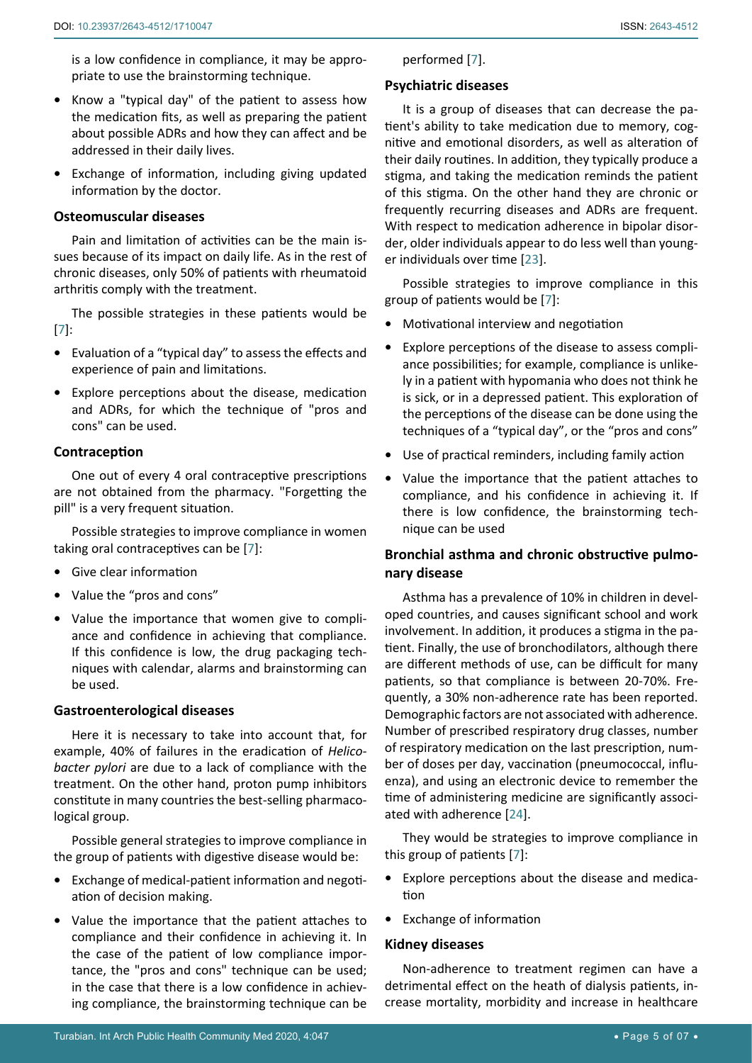is a low confidence in compliance, it may be appropriate to use the brainstorming technique.

- **•** Know a "typical day" of the patient to assess how the medication fits, as well as preparing the patient about possible ADRs and how they can affect and be addressed in their daily lives.
- **•** Exchange of information, including giving updated information by the doctor.

#### **Osteomuscular diseases**

Pain and limitation of activities can be the main issues because of its impact on daily life. As in the rest of chronic diseases, only 50% of patients with rheumatoid arthritis comply with the treatment.

The possible strategies in these patients would be [[7](#page-5-6)]:

- **•** Evaluation of a "typical day" to assess the effects and experience of pain and limitations.
- **•** Explore perceptions about the disease, medication and ADRs, for which the technique of "pros and cons" can be used.

#### **Contraception**

One out of every 4 oral contraceptive prescriptions are not obtained from the pharmacy. "Forgetting the pill" is a very frequent situation.

Possible strategies to improve compliance in women taking oral contraceptives can be [[7\]](#page-5-6):

- **•** Give clear information
- **•** Value the "pros and cons"
- **•** Value the importance that women give to compliance and confidence in achieving that compliance. If this confidence is low, the drug packaging techniques with calendar, alarms and brainstorming can be used.

#### **Gastroenterological diseases**

Here it is necessary to take into account that, for example, 40% of failures in the eradication of *Helicobacter pylori* are due to a lack of compliance with the treatment. On the other hand, proton pump inhibitors constitute in many countries the best-selling pharmacological group.

Possible general strategies to improve compliance in the group of patients with digestive disease would be:

- **•** Exchange of medical-patient information and negotiation of decision making.
- **•** Value the importance that the patient attaches to compliance and their confidence in achieving it. In the case of the patient of low compliance importance, the "pros and cons" technique can be used; in the case that there is a low confidence in achieving compliance, the brainstorming technique can be

performed [[7](#page-5-6)].

#### **Psychiatric diseases**

It is a group of diseases that can decrease the patient's ability to take medication due to memory, cognitive and emotional disorders, as well as alteration of their daily routines. In addition, they typically produce a stigma, and taking the medication reminds the patient of this stigma. On the other hand they are chronic or frequently recurring diseases and ADRs are frequent. With respect to medication adherence in bipolar disorder, older individuals appear to do less well than younger individuals over time [[23\]](#page-6-13).

Possible strategies to improve compliance in this group of patients would be [\[7](#page-5-6)]:

- **•** Motivational interview and negotiation
- **•** Explore perceptions of the disease to assess compliance possibilities; for example, compliance is unlikely in a patient with hypomania who does not think he is sick, or in a depressed patient. This exploration of the perceptions of the disease can be done using the techniques of a "typical day", or the "pros and cons"
- **•** Use of practical reminders, including family action
- **•** Value the importance that the patient attaches to compliance, and his confidence in achieving it. If there is low confidence, the brainstorming technique can be used

## **Bronchial asthma and chronic obstructive pulmonary disease**

Asthma has a prevalence of 10% in children in developed countries, and causes significant school and work involvement. In addition, it produces a stigma in the patient. Finally, the use of bronchodilators, although there are different methods of use, can be difficult for many patients, so that compliance is between 20-70%. Frequently, a 30% non-adherence rate has been reported. Demographic factors are not associated with adherence. Number of prescribed respiratory drug classes, number of respiratory medication on the last prescription, number of doses per day, vaccination (pneumococcal, influenza), and using an electronic device to remember the time of administering medicine are significantly associated with adherence [\[24](#page-6-14)].

They would be strategies to improve compliance in this group of patients [\[7\]](#page-5-6):

- **•** Explore perceptions about the disease and medication
- **•** Exchange of information

#### **Kidney diseases**

Non-adherence to treatment regimen can have a detrimental effect on the heath of dialysis patients, increase mortality, morbidity and increase in healthcare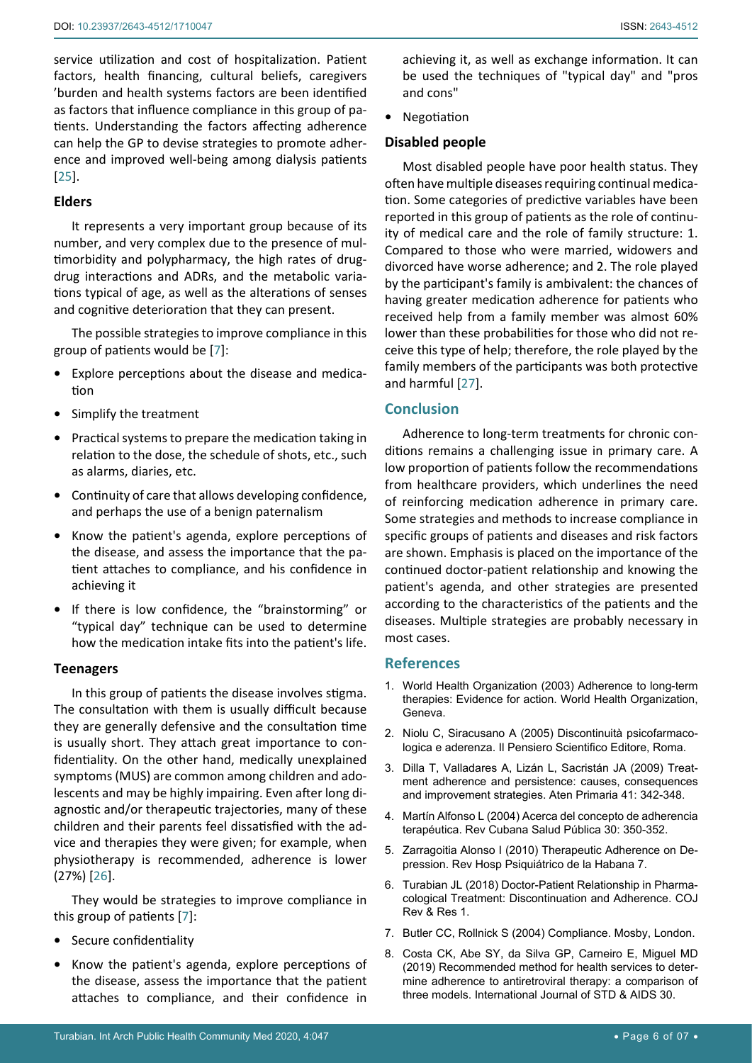## **Elders**

It represents a very important group because of its number, and very complex due to the presence of multimorbidity and polypharmacy, the high rates of drugdrug interactions and ADRs, and the metabolic variations typical of age, as well as the alterations of senses and cognitive deterioration that they can present.

The possible strategies to improve compliance in this group of patients would be [\[7\]](#page-5-6):

- **•** Explore perceptions about the disease and medication
- **•** Simplify the treatment
- **•** Practical systems to prepare the medication taking in relation to the dose, the schedule of shots, etc., such as alarms, diaries, etc.
- **•** Continuity of care that allows developing confidence, and perhaps the use of a benign paternalism
- **•** Know the patient's agenda, explore perceptions of the disease, and assess the importance that the patient attaches to compliance, and his confidence in achieving it
- **•** If there is low confidence, the "brainstorming" or "typical day" technique can be used to determine how the medication intake fits into the patient's life.

#### **Teenagers**

In this group of patients the disease involves stigma. The consultation with them is usually difficult because they are generally defensive and the consultation time is usually short. They attach great importance to confidentiality. On the other hand, medically unexplained symptoms (MUS) are common among children and adolescents and may be highly impairing. Even after long diagnostic and/or therapeutic trajectories, many of these children and their parents feel dissatisfied with the advice and therapies they were given; for example, when physiotherapy is recommended, adherence is lower (27%) [\[26](#page-6-17)].

They would be strategies to improve compliance in this group of patients [\[7\]](#page-5-6):

- **•** Secure confidentiality
- **•** Know the patient's agenda, explore perceptions of the disease, assess the importance that the patient attaches to compliance, and their confidence in

achieving it, as well as exchange information. It can be used the techniques of "typical day" and "pros and cons"

**•** Negotiation

### **Disabled people**

Most disabled people have poor health status. They often have multiple diseases requiring continual medication. Some categories of predictive variables have been reported in this group of patients as the role of continuity of medical care and the role of family structure: 1. Compared to those who were married, widowers and divorced have worse adherence; and 2. The role played by the participant's family is ambivalent: the chances of having greater medication adherence for patients who received help from a family member was almost 60% lower than these probabilities for those who did not receive this type of help; therefore, the role played by the family members of the participants was both protective and harmful [\[27](#page-6-15)].

## **Conclusion**

Adherence to long-term treatments for chronic conditions remains a challenging issue in primary care. A low proportion of patients follow the recommendations from healthcare providers, which underlines the need of reinforcing medication adherence in primary care. Some strategies and methods to increase compliance in specific groups of patients and diseases and risk factors are shown. Emphasis is placed on the importance of the continued doctor-patient relationship and knowing the patient's agenda, and other strategies are presented according to the characteristics of the patients and the diseases. Multiple strategies are probably necessary in most cases.

#### **References**

- <span id="page-5-0"></span>1. [World Health Organization \(2003\) Adherence to long-term](https://www.who.int/chp/knowledge/publications/adherence_report/en/)  [therapies: Evidence for action. World Health Organization,](https://www.who.int/chp/knowledge/publications/adherence_report/en/)  [Geneva.](https://www.who.int/chp/knowledge/publications/adherence_report/en/)
- <span id="page-5-1"></span>2. [Niolu C, Siracusano A \(2005\) Discontinuità psicofarmaco](https://art.torvergata.it/handle/2108/163789?mode=full.110#.Xvbnp20zbIU)[logica e aderenza. Il Pensiero Scientifico Editore, Roma.](https://art.torvergata.it/handle/2108/163789?mode=full.110#.Xvbnp20zbIU)
- <span id="page-5-2"></span>3. [Dilla T, Valladares A, Lizán L, Sacristán JA \(2009\) Treat](https://pubmed.ncbi.nlm.nih.gov/19427071/)[ment adherence and persistence: causes, consequences](https://pubmed.ncbi.nlm.nih.gov/19427071/)  [and improvement strategies. Aten Primaria 41: 342-348.](https://pubmed.ncbi.nlm.nih.gov/19427071/)
- <span id="page-5-3"></span>4. [Martín Alfonso L \(2004\) Acerca del concepto de adherencia](http://scielo.sld.cu/scielo.php?script=sci_arttext&pid=S0864-34662004000400008)  [terapéutica. Rev Cubana Salud Pública 30: 350-352.](http://scielo.sld.cu/scielo.php?script=sci_arttext&pid=S0864-34662004000400008)
- <span id="page-5-4"></span>5. [Zarragoitia Alonso I \(2010\) Therapeutic Adherence on De](http://www.revistahph.sld.cu/hph0310/hph11310.html)[pression. Rev Hosp Psiquiátrico de la Habana 7.](http://www.revistahph.sld.cu/hph0310/hph11310.html)
- <span id="page-5-5"></span>6. [Turabian JL \(2018\) Doctor-Patient Relationship in Pharma](https://crimsonpublishers.com/cojrr/pdf/COJRR.000521.pdf)[cological Treatment: Discontinuation and Adherence. COJ](https://crimsonpublishers.com/cojrr/pdf/COJRR.000521.pdf)  [Rev & Res 1.](https://crimsonpublishers.com/cojrr/pdf/COJRR.000521.pdf)
- <span id="page-5-6"></span>7. Butler CC, Rollnick S (2004) Compliance. Mosby, London.
- <span id="page-5-7"></span>8. [Costa CK, Abe SY, da Silva GP, Carneiro E, Miguel MD](https://journals.sagepub.com/doi/abs/10.1177/0956462419869512)  [\(2019\) Recommended method for health services to deter](https://journals.sagepub.com/doi/abs/10.1177/0956462419869512)[mine adherence to antiretroviral therapy: a comparison of](https://journals.sagepub.com/doi/abs/10.1177/0956462419869512)  [three models. International Journal of STD & AIDS 30.](https://journals.sagepub.com/doi/abs/10.1177/0956462419869512)